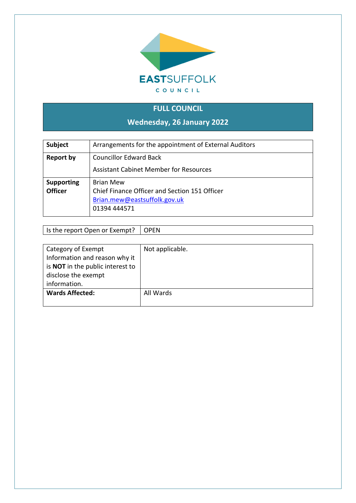

# **FULL COUNCIL**

**Wednesday, 26 January 2022**

| <b>Subject</b>    | Arrangements for the appointment of External Auditors |  |
|-------------------|-------------------------------------------------------|--|
| <b>Report by</b>  | <b>Councillor Edward Back</b>                         |  |
|                   | <b>Assistant Cabinet Member for Resources</b>         |  |
| <b>Supporting</b> | <b>Brian Mew</b>                                      |  |
| <b>Officer</b>    | Chief Finance Officer and Section 151 Officer         |  |
|                   | Brian.mew@eastsuffolk.gov.uk                          |  |
|                   | 01394 444571                                          |  |

#### Is the report Open or Exempt? OPEN

| Category of Exempt                      | Not applicable. |
|-----------------------------------------|-----------------|
| Information and reason why it           |                 |
| is <b>NOT</b> in the public interest to |                 |
| disclose the exempt                     |                 |
| information.                            |                 |
| <b>Wards Affected:</b>                  | All Wards       |
|                                         |                 |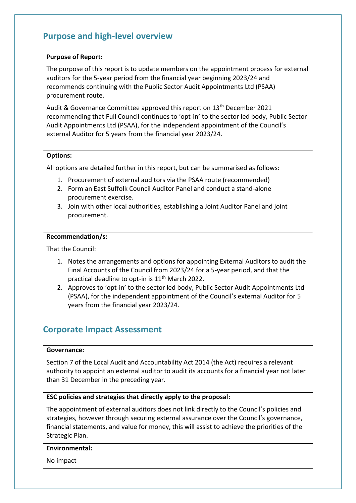## **Purpose and high-level overview**

#### **Purpose of Report:**

The purpose of this report is to update members on the appointment process for external auditors for the 5-year period from the financial year beginning 2023/24 and recommends continuing with the Public Sector Audit Appointments Ltd (PSAA) procurement route.

Audit & Governance Committee approved this report on 13<sup>th</sup> December 2021 recommending that Full Council continues to 'opt-in' to the sector led body, Public Sector Audit Appointments Ltd (PSAA), for the independent appointment of the Council's external Auditor for 5 years from the financial year 2023/24.

#### **Options:**

All options are detailed further in this report, but can be summarised as follows:

- 1. Procurement of external auditors via the PSAA route (recommended)
- 2. Form an East Suffolk Council Auditor Panel and conduct a stand-alone procurement exercise.
- 3. Join with other local authorities, establishing a Joint Auditor Panel and joint procurement.

#### **Recommendation/s:**

That the Council:

- 1. Notes the arrangements and options for appointing External Auditors to audit the Final Accounts of the Council from 2023/24 for a 5-year period, and that the practical deadline to opt-in is 11<sup>th</sup> March 2022.
- 2. Approves to 'opt-in' to the sector led body, Public Sector Audit Appointments Ltd (PSAA), for the independent appointment of the Council's external Auditor for 5 years from the financial year 2023/24.

### **Corporate Impact Assessment**

#### **Governance:**

Section 7 of the Local Audit and Accountability Act 2014 (the Act) requires a relevant authority to appoint an external auditor to audit its accounts for a financial year not later than 31 December in the preceding year.

#### **ESC policies and strategies that directly apply to the proposal:**

The appointment of external auditors does not link directly to the Council's policies and strategies, however through securing external assurance over the Council's governance, financial statements, and value for money, this will assist to achieve the priorities of the Strategic Plan.

#### **Environmental:**

No impact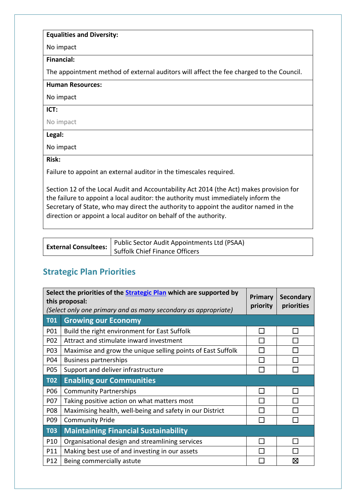#### **Equalities and Diversity:**

No impact

**Financial:**

The appointment method of external auditors will affect the fee charged to the Council.

**Human Resources:**

No impact

**ICT:**

No impact

**Legal:**

No impact

**Risk:**

Failure to appoint an external auditor in the timescales required.

Section 12 of the Local Audit and Accountability Act 2014 (the Act) makes provision for the failure to appoint a local auditor: the authority must immediately inform the Secretary of State, who may direct the authority to appoint the auditor named in the direction or appoint a local auditor on behalf of the authority.

|                             | Public Sector Audit Appointments Ltd (PSAA) |
|-----------------------------|---------------------------------------------|
| <b>External Consultees:</b> | Suffolk Chief Finance Officers              |

## **Strategic Plan Priorities**

| Select the priorities of the <b>Strategic Plan</b> which are supported by<br>this proposal:<br>(Select only one primary and as many secondary as appropriate) |                                                             |                 | <b>Secondary</b><br>priorities |
|---------------------------------------------------------------------------------------------------------------------------------------------------------------|-------------------------------------------------------------|-----------------|--------------------------------|
| <b>T01</b>                                                                                                                                                    | <b>Growing our Economy</b>                                  |                 |                                |
| P01                                                                                                                                                           | Build the right environment for East Suffolk                | <b>Contract</b> |                                |
| P02                                                                                                                                                           | Attract and stimulate inward investment                     |                 |                                |
| P03                                                                                                                                                           | Maximise and grow the unique selling points of East Suffolk |                 |                                |
| P04                                                                                                                                                           | <b>Business partnerships</b>                                | l.              |                                |
| <b>P05</b>                                                                                                                                                    | Support and deliver infrastructure                          | П               |                                |
| <b>T02</b>                                                                                                                                                    | <b>Enabling our Communities</b>                             |                 |                                |
| P06                                                                                                                                                           | <b>Community Partnerships</b>                               |                 |                                |
| <b>P07</b>                                                                                                                                                    | Taking positive action on what matters most                 |                 |                                |
| P08                                                                                                                                                           | Maximising health, well-being and safety in our District    |                 |                                |
| P09                                                                                                                                                           | <b>Community Pride</b>                                      |                 |                                |
| <b>T03</b>                                                                                                                                                    | <b>Maintaining Financial Sustainability</b>                 |                 |                                |
| P <sub>10</sub>                                                                                                                                               | Organisational design and streamlining services             | <b>Contract</b> |                                |
| P11                                                                                                                                                           | Making best use of and investing in our assets              |                 |                                |
| P12                                                                                                                                                           | Being commercially astute                                   |                 | ⊠                              |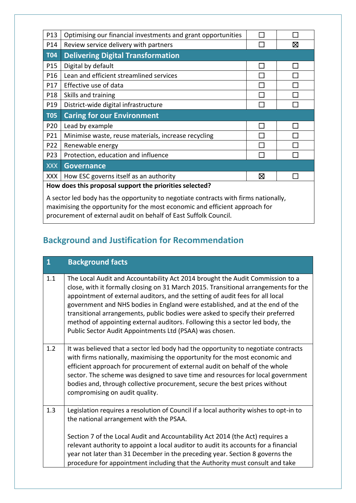| P13                                                                                                                                                                | Optimising our financial investments and grant opportunities |   |   |
|--------------------------------------------------------------------------------------------------------------------------------------------------------------------|--------------------------------------------------------------|---|---|
| P14                                                                                                                                                                | Review service delivery with partners                        |   | ⊠ |
| <b>T04</b>                                                                                                                                                         | <b>Delivering Digital Transformation</b>                     |   |   |
| P15                                                                                                                                                                | Digital by default                                           | П |   |
| P16                                                                                                                                                                | Lean and efficient streamlined services                      |   |   |
| P17                                                                                                                                                                | Effective use of data                                        |   |   |
| P18                                                                                                                                                                | Skills and training                                          |   |   |
| P19                                                                                                                                                                | District-wide digital infrastructure                         |   |   |
| <b>T05</b>                                                                                                                                                         | <b>Caring for our Environment</b>                            |   |   |
| P20                                                                                                                                                                | Lead by example                                              |   |   |
| P21                                                                                                                                                                | Minimise waste, reuse materials, increase recycling          |   |   |
| P22                                                                                                                                                                | Renewable energy                                             |   |   |
| P23                                                                                                                                                                | Protection, education and influence                          |   |   |
| <b>XXX</b>                                                                                                                                                         | <b>Governance</b>                                            |   |   |
| <b>XXX</b>                                                                                                                                                         | How ESC governs itself as an authority                       | ⊠ |   |
| How does this proposal support the priorities selected?                                                                                                            |                                                              |   |   |
| A sector led body has the opportunity to negotiate contracts with firms nationally,<br>maximising the opportunity for the most economic and efficient approach for |                                                              |   |   |

procurement of external audit on behalf of East Suffolk Council.

# **Background and Justification for Recommendation**

| $\overline{\mathbf{1}}$ | <b>Background facts</b>                                                                                                                                                                                                                                                                                                                                                                                                                                                                                                                                             |
|-------------------------|---------------------------------------------------------------------------------------------------------------------------------------------------------------------------------------------------------------------------------------------------------------------------------------------------------------------------------------------------------------------------------------------------------------------------------------------------------------------------------------------------------------------------------------------------------------------|
| 1.1                     | The Local Audit and Accountability Act 2014 brought the Audit Commission to a<br>close, with it formally closing on 31 March 2015. Transitional arrangements for the<br>appointment of external auditors, and the setting of audit fees for all local<br>government and NHS bodies in England were established, and at the end of the<br>transitional arrangements, public bodies were asked to specify their preferred<br>method of appointing external auditors. Following this a sector led body, the<br>Public Sector Audit Appointments Ltd (PSAA) was chosen. |
| 1.2                     | It was believed that a sector led body had the opportunity to negotiate contracts<br>with firms nationally, maximising the opportunity for the most economic and<br>efficient approach for procurement of external audit on behalf of the whole<br>sector. The scheme was designed to save time and resources for local government<br>bodies and, through collective procurement, secure the best prices without<br>compromising on audit quality.                                                                                                                  |
| 1.3                     | Legislation requires a resolution of Council if a local authority wishes to opt-in to<br>the national arrangement with the PSAA.<br>Section 7 of the Local Audit and Accountability Act 2014 (the Act) requires a<br>relevant authority to appoint a local auditor to audit its accounts for a financial<br>year not later than 31 December in the preceding year. Section 8 governs the<br>procedure for appointment including that the Authority must consult and take                                                                                            |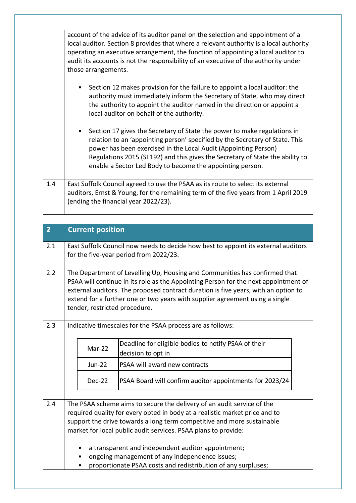|     | account of the advice of its auditor panel on the selection and appointment of a<br>local auditor. Section 8 provides that where a relevant authority is a local authority<br>operating an executive arrangement, the function of appointing a local auditor to<br>audit its accounts is not the responsibility of an executive of the authority under<br>those arrangements. |  |  |  |  |
|-----|-------------------------------------------------------------------------------------------------------------------------------------------------------------------------------------------------------------------------------------------------------------------------------------------------------------------------------------------------------------------------------|--|--|--|--|
|     | Section 12 makes provision for the failure to appoint a local auditor: the<br>authority must immediately inform the Secretary of State, who may direct<br>the authority to appoint the auditor named in the direction or appoint a<br>local auditor on behalf of the authority.                                                                                               |  |  |  |  |
|     | Section 17 gives the Secretary of State the power to make regulations in<br>relation to an 'appointing person' specified by the Secretary of State. This<br>power has been exercised in the Local Audit (Appointing Person)<br>Regulations 2015 (SI 192) and this gives the Secretary of State the ability to<br>enable a Sector Led Body to become the appointing person.    |  |  |  |  |
| 1.4 | East Suffolk Council agreed to use the PSAA as its route to select its external<br>auditors, Ernst & Young, for the remaining term of the five years from 1 April 2019<br>(ending the financial year 2022/23).                                                                                                                                                                |  |  |  |  |

| $\overline{2}$ |                                                                                                                                                                                                                                                                                                                                                                                                                                                                            | <b>Current position</b>                                                              |                                                            |  |
|----------------|----------------------------------------------------------------------------------------------------------------------------------------------------------------------------------------------------------------------------------------------------------------------------------------------------------------------------------------------------------------------------------------------------------------------------------------------------------------------------|--------------------------------------------------------------------------------------|------------------------------------------------------------|--|
| 2.1            | East Suffolk Council now needs to decide how best to appoint its external auditors<br>for the five-year period from 2022/23.                                                                                                                                                                                                                                                                                                                                               |                                                                                      |                                                            |  |
| 2.2            | The Department of Levelling Up, Housing and Communities has confirmed that<br>PSAA will continue in its role as the Appointing Person for the next appointment of<br>external auditors. The proposed contract duration is five years, with an option to<br>extend for a further one or two years with supplier agreement using a single<br>tender, restricted procedure.                                                                                                   |                                                                                      |                                                            |  |
| 2.3            |                                                                                                                                                                                                                                                                                                                                                                                                                                                                            |                                                                                      | Indicative timescales for the PSAA process are as follows: |  |
|                |                                                                                                                                                                                                                                                                                                                                                                                                                                                                            | Deadline for eligible bodies to notify PSAA of their<br>Mar-22<br>decision to opt in |                                                            |  |
|                |                                                                                                                                                                                                                                                                                                                                                                                                                                                                            | <b>Jun-22</b>                                                                        | PSAA will award new contracts                              |  |
|                | PSAA Board will confirm auditor appointments for 2023/24<br>Dec-22                                                                                                                                                                                                                                                                                                                                                                                                         |                                                                                      |                                                            |  |
| 2.4            | The PSAA scheme aims to secure the delivery of an audit service of the<br>required quality for every opted in body at a realistic market price and to<br>support the drive towards a long term competitive and more sustainable<br>market for local public audit services. PSAA plans to provide:<br>a transparent and independent auditor appointment;<br>ongoing management of any independence issues;<br>proportionate PSAA costs and redistribution of any surpluses; |                                                                                      |                                                            |  |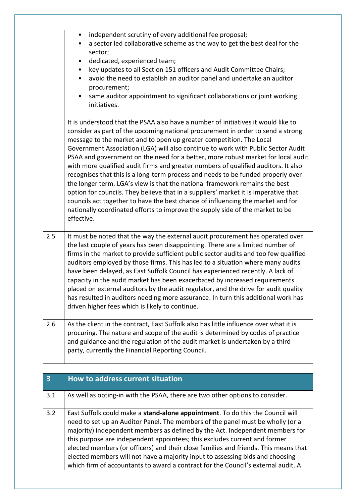|     | independent scrutiny of every additional fee proposal;<br>$\bullet$<br>a sector led collaborative scheme as the way to get the best deal for the<br>sector;<br>dedicated, experienced team;<br>$\bullet$<br>key updates to all Section 151 officers and Audit Committee Chairs;<br>$\bullet$<br>avoid the need to establish an auditor panel and undertake an auditor<br>$\bullet$<br>procurement;<br>same auditor appointment to significant collaborations or joint working<br>$\bullet$<br>initiatives.                                                                                                                                                                                                                                                                                                                                                                                                                                            |
|-----|-------------------------------------------------------------------------------------------------------------------------------------------------------------------------------------------------------------------------------------------------------------------------------------------------------------------------------------------------------------------------------------------------------------------------------------------------------------------------------------------------------------------------------------------------------------------------------------------------------------------------------------------------------------------------------------------------------------------------------------------------------------------------------------------------------------------------------------------------------------------------------------------------------------------------------------------------------|
|     | It is understood that the PSAA also have a number of initiatives it would like to<br>consider as part of the upcoming national procurement in order to send a strong<br>message to the market and to open up greater competition. The Local<br>Government Association (LGA) will also continue to work with Public Sector Audit<br>PSAA and government on the need for a better, more robust market for local audit<br>with more qualified audit firms and greater numbers of qualified auditors. It also<br>recognises that this is a long-term process and needs to be funded properly over<br>the longer term. LGA's view is that the national framework remains the best<br>option for councils. They believe that in a suppliers' market it is imperative that<br>councils act together to have the best chance of influencing the market and for<br>nationally coordinated efforts to improve the supply side of the market to be<br>effective. |
| 2.5 | It must be noted that the way the external audit procurement has operated over<br>the last couple of years has been disappointing. There are a limited number of<br>firms in the market to provide sufficient public sector audits and too few qualified<br>auditors employed by those firms. This has led to a situation where many audits<br>have been delayed, as East Suffolk Council has experienced recently. A lack of<br>capacity in the audit market has been exacerbated by increased requirements<br>placed on external auditors by the audit regulator, and the drive for audit quality<br>has resulted in auditors needing more assurance. In turn this additional work has<br>driven higher fees which is likely to continue.                                                                                                                                                                                                           |
| 2.6 | As the client in the contract, East Suffolk also has little influence over what it is<br>procuring. The nature and scope of the audit is determined by codes of practice<br>and guidance and the regulation of the audit market is undertaken by a third<br>party, currently the Financial Reporting Council.                                                                                                                                                                                                                                                                                                                                                                                                                                                                                                                                                                                                                                         |

| $\overline{\mathbf{3}}$ | How to address current situation                                                                                                                                                                                                                                                                                                                                                                                                                                                                                                                                                           |
|-------------------------|--------------------------------------------------------------------------------------------------------------------------------------------------------------------------------------------------------------------------------------------------------------------------------------------------------------------------------------------------------------------------------------------------------------------------------------------------------------------------------------------------------------------------------------------------------------------------------------------|
| 3.1                     | As well as opting-in with the PSAA, there are two other options to consider.                                                                                                                                                                                                                                                                                                                                                                                                                                                                                                               |
| 3.2                     | East Suffolk could make a stand-alone appointment. To do this the Council will<br>need to set up an Auditor Panel. The members of the panel must be wholly (or a<br>majority) independent members as defined by the Act. Independent members for<br>this purpose are independent appointees; this excludes current and former<br>elected members (or officers) and their close families and friends. This means that<br>elected members will not have a majority input to assessing bids and choosing<br>which firm of accountants to award a contract for the Council's external audit. A |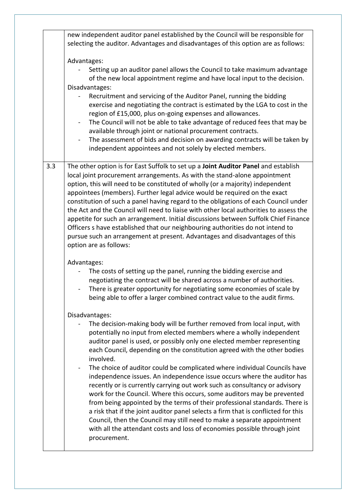|     | new independent auditor panel established by the Council will be responsible for<br>selecting the auditor. Advantages and disadvantages of this option are as follows:                                                                                                                                                                                                                                                                                                                                                                                                                                                                                                                                                                                                                            |
|-----|---------------------------------------------------------------------------------------------------------------------------------------------------------------------------------------------------------------------------------------------------------------------------------------------------------------------------------------------------------------------------------------------------------------------------------------------------------------------------------------------------------------------------------------------------------------------------------------------------------------------------------------------------------------------------------------------------------------------------------------------------------------------------------------------------|
|     | Advantages:<br>Setting up an auditor panel allows the Council to take maximum advantage                                                                                                                                                                                                                                                                                                                                                                                                                                                                                                                                                                                                                                                                                                           |
|     | of the new local appointment regime and have local input to the decision.<br>Disadvantages:<br>Recruitment and servicing of the Auditor Panel, running the bidding                                                                                                                                                                                                                                                                                                                                                                                                                                                                                                                                                                                                                                |
|     | exercise and negotiating the contract is estimated by the LGA to cost in the<br>region of £15,000, plus on-going expenses and allowances.<br>The Council will not be able to take advantage of reduced fees that may be                                                                                                                                                                                                                                                                                                                                                                                                                                                                                                                                                                           |
|     | available through joint or national procurement contracts.<br>The assessment of bids and decision on awarding contracts will be taken by<br>$\blacksquare$<br>independent appointees and not solely by elected members.                                                                                                                                                                                                                                                                                                                                                                                                                                                                                                                                                                           |
| 3.3 | The other option is for East Suffolk to set up a Joint Auditor Panel and establish<br>local joint procurement arrangements. As with the stand-alone appointment<br>option, this will need to be constituted of wholly (or a majority) independent<br>appointees (members). Further legal advice would be required on the exact<br>constitution of such a panel having regard to the obligations of each Council under<br>the Act and the Council will need to liaise with other local authorities to assess the<br>appetite for such an arrangement. Initial discussions between Suffolk Chief Finance<br>Officers s have established that our neighbouring authorities do not intend to<br>pursue such an arrangement at present. Advantages and disadvantages of this<br>option are as follows: |
|     | Advantages:<br>The costs of setting up the panel, running the bidding exercise and<br>negotiating the contract will be shared across a number of authorities.<br>There is greater opportunity for negotiating some economies of scale by<br>being able to offer a larger combined contract value to the audit firms.                                                                                                                                                                                                                                                                                                                                                                                                                                                                              |
|     | Disadvantages:<br>The decision-making body will be further removed from local input, with<br>potentially no input from elected members where a wholly independent<br>auditor panel is used, or possibly only one elected member representing<br>each Council, depending on the constitution agreed with the other bodies<br>involved.<br>The choice of auditor could be complicated where individual Councils have<br>independence issues. An independence issue occurs where the auditor has<br>recently or is currently carrying out work such as consultancy or advisory                                                                                                                                                                                                                       |
|     | work for the Council. Where this occurs, some auditors may be prevented<br>from being appointed by the terms of their professional standards. There is<br>a risk that if the joint auditor panel selects a firm that is conflicted for this<br>Council, then the Council may still need to make a separate appointment<br>with all the attendant costs and loss of economies possible through joint<br>procurement.                                                                                                                                                                                                                                                                                                                                                                               |